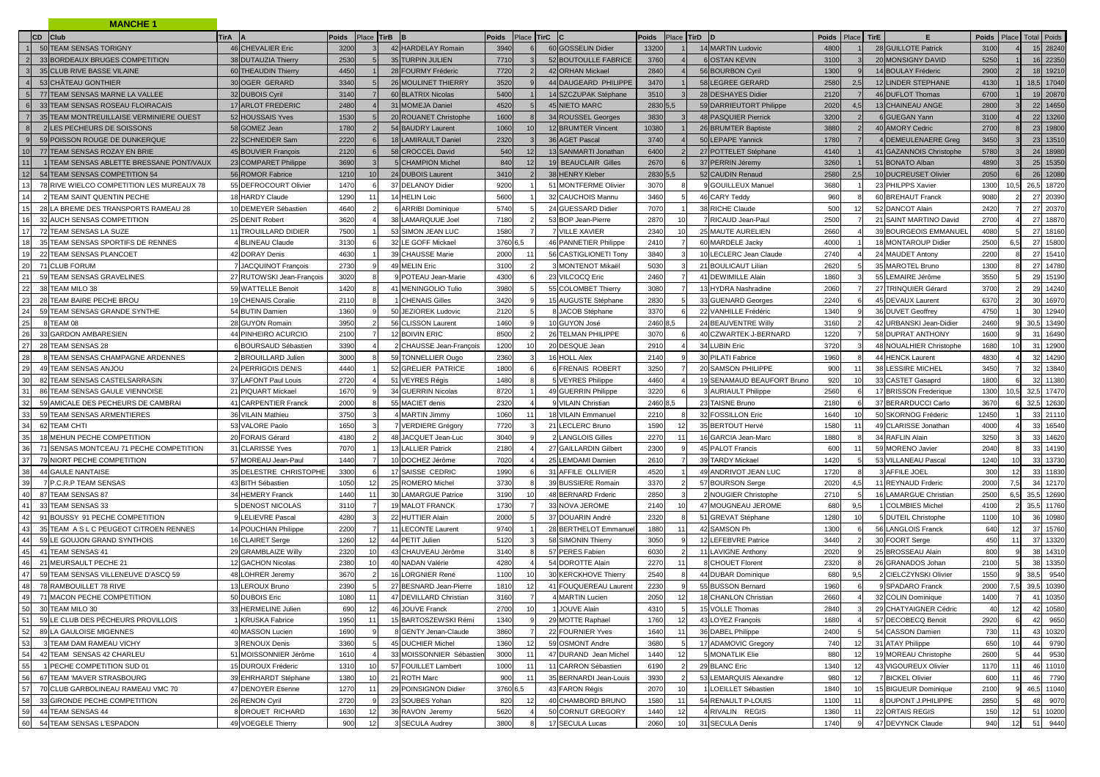|                 | <b>MANCHE 1</b>                                      |                           |                         |                          |                     |                                             |       |                                    |                |                             |       |       |             |                         |              |                |                    |
|-----------------|------------------------------------------------------|---------------------------|-------------------------|--------------------------|---------------------|---------------------------------------------|-------|------------------------------------|----------------|-----------------------------|-------|-------|-------------|-------------------------|--------------|----------------|--------------------|
|                 | CD Club                                              | <b>TirA</b>               | Place TirB B<br>Poids   |                          | Poids<br>Place TirC |                                             | Poids |                                    | Place TirD D   |                             | Poids | Place | <b>TirE</b> | Е.                      | Poids        |                | <b>Total Poids</b> |
|                 | 50 TEAM SENSAS TORIGNY                               | 46 CHEVALIER Eric         | 3200                    | 42 HARDELAY Romain       | 3940                | 60 GOSSELIN Didier                          | 13200 |                                    |                | 14 MARTIN Ludovic           | 4800  |       |             | 28 GUILLOTE Patrick     | 3100         |                | 15 28240           |
|                 | 33 BORDEAUX BRUGES COMPETITION                       | 38 DUTAUZIA Thierry       | 2530                    | 35 TURPIN JULIEN         | 7710                | 52 BOUTOULLE FABRICE                        | 3760  |                                    |                | 6 OSTAN KEVIN               | 3100  |       |             | 20 MONSIGNY DAVID       | 5250         |                | 16 22350           |
|                 | 35 CLUB RIVE BASSE VILAINE                           | 60 THEAUDIN Thierry       | 4450                    | 28 FOURMY Fréderic       | 7720                | 42 ORHAN Mickael                            | 2840  |                                    |                | 56 BOURBON Cyril            | 1300  |       |             | 14 BOULAY Fréderic      | 2900         |                | 18 19210           |
|                 | 53 CHÂTEAU GONTHIER                                  | 30 OGER GERARD            | 3340                    | 26 MOULINET THIERRY      | 3520                | 44 DAUGEARD PHILIPPE                        | 3470  |                                    |                | 58 LEGREE GERARD            | 2580  | 2.5   |             | 12 LINDER STEPHANE      | 4130         |                | 18,5 17040         |
|                 | 77 TEAM SENSAS MARNE LA VALLEE                       | 32 DUBOIS Cyril           | 3140                    | 60 BLATRIX Nicolas       | 5400                | 14 SZCZUPAK Stéphane                        | 3510  |                                    |                | 28 DESHAYES Didier          | 2120  |       |             | 46 DUFLOT Thomas        | 6700         |                | 19 20870           |
|                 | 33 TEAM SENSAS ROSEAU FLOIRACAIS                     | 17 ARLOT FREDERIC         | 2480                    | 31 MOMEJA Daniel         | 4520                | 45 NIETO MARC                               |       | 2830 5,5                           |                | 59 DARRIEUTORT Philippe     | 2020  |       |             | 13 CHAINEAU ANGE        | 2800         |                | 22 14650           |
|                 | 35 TEAM MONTREUILLAISE VERMINIERE OUEST              | 52 HOUSSAIS Yves          | 1530                    | 20 ROUANET Christophe    | 1600                | 34 ROUSSEL Georges                          | 3830  |                                    |                | <b>48 PASQUIER Pierrick</b> | 3200  |       |             | 6 GUEGAN Yann           | 3100         |                | 22 13260           |
| $\mathbf{8}$    | 2 LES PECHEURS DE SOISSONS                           | 58 GOMEZ Jean             | 1780                    | 54 BAUDRY Laurent        | 1060                | 12 BRUMTER Vincent                          | 1038  |                                    |                | 26 BRUMTER Baptiste         | 3880  |       |             | 40 AMORY Cedric         | 2700         |                | 23 19800           |
| $\mathsf{q}$    | 59 POISSON ROUGE DE DUNKERQUE                        | 22 SCHNEIDER Sam          | 2220                    | 18 LAMIRAULT Daniel      | 2320                | 36 AGET Pascal                              | 3740  |                                    |                | 50 LEPAPE Yannick           | 1780  |       |             | 4 DEMEULENAERE Greg     | 3450         |                | 23 13510           |
| 10 <sup>1</sup> | 77 TEAM SENSAS ROZAY EN BRIE                         | 45 BOUVIER François       | 2120                    | 58 CROCCEL David         | 540<br>12           | 13 SANMARTI Jonathan                        | 6400  |                                    |                | 27 POTTELET Stéphane        | 4140  |       |             | 41 GAZANNOIS Christophe | 5780         |                | 24 18980           |
|                 | 1 TEAM SENSAS ABLETTE BRESSANE PONT/VAUX             | 23 COMPARET Philippe      | 3690                    | 5 CHAMPION Michel        | 840<br>12           | 19 BEAUCLAIR Gilles                         | 2670  |                                    |                | 37 PERRIN Jéremy            | 3260  |       |             | 51 BONATO Alban         | 4890         |                | 25 15350           |
| 12              | 54 TEAM SENSAS COMPETITION 54                        | 56 ROMOR Fabrice          | 1210<br>10 <sup>1</sup> | 24 DUBOIS Laurent        | 3410                | 38 HENRY Kleber                             | 2830  |                                    |                | 52 CAUDIN Renaud            | 2580  |       |             | 10 DUCREUSET Olivier    | 2050         |                | 26<br>12080        |
| 13              | 78 RIVE WIELCO COMPETITION LES MUREAUX 78            | 55 DEFROCOURT Olivier     | 1470                    | 37 DELANOY Didier        | 9200                | 51 MONTFERME Olivier                        | 3070  |                                    |                | 9 GOUILLEUX Manuel          | 3680  |       |             | 23 PHILPPS Xavier       | 1300         | 10.5           | 26,5<br>18720      |
| 14              | TEAM SAINT QUENTIN PECHE                             | 18 HARDY Claude           | 1290<br>11              | 14 HELIN Loic            | 5600                | 32 CAUCHOIS Mannu                           | 3460  |                                    |                | 46 CARY Teddy               | 960   |       |             | 60 BREHAUT Franck       | 9080         |                | 20390<br>27        |
| 15              | 28 LA BREME DES TRANSPORTS RAMEAU 28                 | 10 DEMEYER Sébastien      | 4640                    |                          | 5740                | 24 GUESSARD Didier                          | 7070  |                                    |                | 38 RICHE Claude             | 500   |       |             | 52 DANCOT Alain         | 2420         |                | 27 20370           |
|                 |                                                      |                           |                         | <b>SARRIBI Dominique</b> |                     |                                             |       |                                    |                |                             |       |       |             |                         |              |                |                    |
| 16<br>17        | 32 AUCH SENSAS COMPETITION<br>72 TEAM SENSAS LA SUZE | 25 DENIT Robert           | 3620                    | 38 LAMARQUUE Joel        | 7180<br>1580        | 53 BOP Jean-Pierre<br><b>7 VILLE XAVIER</b> | 2870  | 10 <sup>1</sup><br>10 <sup>1</sup> |                | RICAUD Jean-Paul            | 2500  |       | 21          | SAINT MARTINO David     | 2700<br>4080 |                | 27<br>18870<br>27  |
| 18              |                                                      | TROUILLARD DIDIER         | 7500                    | 53 SIMON JEAN LUC        |                     |                                             | 2340  |                                    |                | 25 MAUTE AURELIEN           | 2660  |       |             | 39 BOURGEOIS EMMANUEL   |              |                | 18160              |
|                 | 35 TEAM SENSAS SPORTIFS DE RENNES                    | <b>BLINEAU Claude</b>     | 3130                    | 32 LE GOFF Mickael       | 3760 6,5            | 46 PANNETIER Philippe                       | 2410  |                                    |                | 60 MARDELE Jacky            | 4000  |       |             | 18 MONTAROUP Didier     | 2500         |                | 27<br>15800        |
| 19              | 22 TEAM SENSAS PLANCOET                              | 42 DORAY Denis            | 463                     | 39 CHAUSSE Marie         | 2000                | 56 CASTIGLIONETI Tony                       | 3840  |                                    |                | 10 LECLERC Jean Claude      | 2740  |       |             | 24 MAUDET Antony        | 2200         |                | 27 15410           |
| 20              | 71 CLUB FORUM                                        | 7 JACQUINOT François      | 2730                    | 49 MELIN Eric            | 3100                | 3 MONTENOT Mikaë                            | 5030  |                                    |                | 21 BOULICAUT Lilian         | 2620  |       |             | 35 MAROTEL Bruno        | 1300         |                | 27<br>14780        |
| 21              | 59 TEAM SENSAS GRAVELINES                            | 27 RUTOWSKI Jean-François | 302                     | 9 POTEAU Jean-Marie      | 4300                | 23 VILCOCQ Eric                             | 2460  |                                    |                | 41 DEWIMILLE Alain          | 1860  |       |             | 55 LEMAIRE Jérôme       | 3550         |                | 29 15190           |
| 22              | 38 TEAM MILO 38                                      | 59 WATTELLE Benoit        | 1420                    | 41 MENINGOLIO Tulio      | 3980                | 55 COLOMBET Thierry                         | 3080  |                                    |                | 13 HYDRA Nashradine         | 2060  |       |             | 27 TRINQUIER Gérard     | 3700         |                | 29 14240           |
| 23              | 28 TEAM BAIRE PECHE BROU                             | 19 CHENAIS Coralie        | 2110                    | <b>CHENAIS Gilles</b>    | 3420                | 15 AUGUSTE Stéphane                         | 2830  |                                    |                | 33 GUENARD Georges          | 2240  |       |             | 45 DEVAUX Laurent       | 6370         |                | 30<br>16970        |
| 24              | 59 TEAM SENSAS GRANDE SYNTHE                         | 54 BUTIN Damien           | 1360                    | 50 JEZIOREK Ludovic      | 2120                | 8 JACOB Stéphane                            | 3370  |                                    |                | 22 VANHILLE Frédéric        | 1340  |       |             | 36 DUVET Geoffrev       | 4750         |                | 12940<br>30        |
| 25              | 8 TEAM 08                                            | 28 GUYON Romain           | 3950                    | 56 CLISSON Laurent       | 1460                | 10 GUYON José                               | 2460  |                                    |                | 24 BEAUVENTRE Willy         | 3160  |       |             | 42 URBANSKI Jean-Didier | 2460         |                | 30,5<br>13490      |
| 26              | 33 GARDON AMBARESIEN                                 | 44 PINHEIRO ACURCIO       | 2100                    | 12 BOIVIN ERIC           | 8500                | 26 TELMAN PHILIPPE                          | 3070  |                                    |                | 40 CZWARTEK J-BERNARD       | 1220  |       |             | 58 DUPRAT ANTHONY       | 1600         |                | 16490<br>31        |
| 27              | 28 TEAM SENSAS 28                                    | <b>BOURSAUD Sébastien</b> | 3390                    | CHAUSSE Jean-François    | 1200                | 20 DESQUE Jean                              | 2910  |                                    |                | 34 LUBIN Eric               | 3720  |       |             | 48 NOUALHIER Christophe | 1680         |                | 12900<br>31        |
| 28              | TEAM SENSAS CHAMPAGNE ARDENNES                       | <b>BROUILLARD Julien</b>  | 3000                    | 59 TONNELLIER Ougo       | 2360                | 16 HOLL Alex                                | 2140  |                                    |                | 30 PILATI Fabrice           | 1960  |       |             | 44 HENCK Laurent        | 4830         |                | 32<br>14290        |
| 29              | 49 TEAM SENSAS ANJOU                                 | 24 PERRIGOIS DENIS        | 4440                    | 52 GRELIER PATRICE       | 1800                | <b>FRENAIS ROBERT</b>                       | 3250  |                                    |                | 20 SAMSON PHILIPPE          | 900   |       |             | 38 LESSIRE MICHEL       | 3450         |                | 13840<br>32        |
| 30              | 82 TEAM SENSAS CASTELSARRASIN                        | 37 LAFONT Paul Louis      | 2720                    | 51 VEYRES Régis          | 1480                | VEYRES Philippe                             | 4460  |                                    |                | 19 SENAMAUD BEAUFORT Bruno  | 920   |       |             | 33 CASTET Gasaprd       | 1800         |                | 32<br>11380        |
|                 | 86 TEAM SENSAS GAULE VIENNOISE                       | 21 PIQUART Mickael        | 1670                    | 34 GUERRIN Nicolas       | 8720                | 49 GUERRIN Philippe                         | 3220  |                                    |                | <b>AURIAULT Philippe</b>    | 2560  |       |             | 17 BRISSON Frederique   | 1300         | 10.5           | 32,5<br>17470      |
| 32              | 59 AMICALE DES PECHEURS DE CAMBRAI                   | <b>CARPENTIER Franck</b>  | 2000                    | 55 MACIET denis          | 2320                | 9 VILAIN Christian                          | 2460  |                                    |                | 23 TAISNE Bruno             | 2180  |       |             | 37 BERARDUCCI Carlo     | 3670         |                | 32,5<br>12630      |
| 33              | 59 TEAM SENSAS ARMENTIERES                           | 36 VILAIN Mathieu         | 3750                    | 4 MARTIN Jimmy           | 1060                | 18 VILAIN Emmanuel                          | 221   |                                    |                | 32 FOSSILLON Eric           | 1640  |       |             | 50 SKORNOG Fréderic     | 12450        |                | 21110<br>33        |
| 34              | 62 TEAM CHTI                                         | 53 VALORE Paolo           | 1650                    | 7 VERDIERE Grégory       | 7720                | 21 LECLERC Bruno                            | 1590  | 12                                 |                | 35 BERTOUT Hervé            | 1580  |       |             | 49 CLARISSE Jonathan    | 4000         |                | 33<br>16540        |
| 35              | 18 MEHUN PECHE COMPETITION                           | 20 FORAIS Gérard          | 4180                    | 48 JACQUET Jean-Luc      | 3040                | 2 LANGLOIS Gilles                           | 2270  | 11                                 |                | 16 GARCIA Jean-Marc         | 1880  |       |             | 34 RAFLIN Alain         | 3250         |                | 14620<br>33        |
| 36              | 71 SENSAS MONTCEAU 71 PECHE COMPETITION              | 31 CLARISSE Yves          | 707                     | 13 LALLIER Patrick       | 2180                | 27 GAILLARDIN Gilbert                       | 2300  |                                    |                | 45 PALOT Francis            | 600   |       |             | 59 MORENO Javier        | 2040         |                | 33<br>14190        |
| 37              | 79 NIORT PECHE COMPETITION                           | 57 MOREAU Jean-Paul       | 1440                    | 10 DOCHEZ Jérôme         | 7020                | 25 LEMDAMI Damien                           | 2610  |                                    |                | 39 TARDY Mickael            | 1420  |       |             | 53 VILLANEAU Pascal     | 1240         |                | 33<br>13730        |
| 38              | 44 GAULE NANTAISE                                    | 35 DELESTRE CHRISTOPHE    | 3300<br>6               | 17 SAISSE CEDRIC         | 1990                | 31 AFFILE OLLIVIER                          | 4520  |                                    |                | 49 ANDRIVOT JEAN LUC        | 1720  |       |             | 3 AFFILE JOEL           | 300          | 12             | 33 11830           |
| 39              | 7 P.C.R.P TEAM SENSAS                                | 43 BITH Sébastien         | 1050<br>12              | 25 ROMERO Michel         | 3730                | 39 BUSSIERE Romain                          | 3370  |                                    |                | 57 BOURSON Serge            | 2020  | 4.5   |             | REYNAUD Frderic<br>11   | 2000         | 7.5            | 12170<br>34        |
| 40              | 87 TEAM SENSAS 87                                    | 34 HEMERY Franck          | 1440                    | 30 LAMARGUE Patrice      | 3190                | 48 BERNARD Frderic                          | 2850  |                                    |                | 2 NOUGIER Christophe        | 2710  |       |             | 16 LAMARGUE Christian   | 2500         |                | 35,5<br>12690      |
| 41              | 33 TEAM SENSAS 33                                    | <b>DENOST NICOLAS</b>     | 3110                    | <b>19 MALOT FRANCK</b>   | 1730                | 33 NOVA JEROME                              | 2140  | 10 <sup>1</sup>                    |                | 47 MOUGNEAU JEROME          | 680   | 9.5   |             | <b>COLMBIES Michel</b>  | 4100         |                | 35,5<br>11760      |
| 42              | 91 BOUSSY 91 PECHE COMPETITION                       | <b>LELIEVRE Pascal</b>    | 4280                    | 22 HUTTIER Alain         | 2000                | 37 DOUARIN André                            | 2320  |                                    |                | 51 GREVAT Stéphane          | 1280  |       |             | 5 DUTEIL Christophe     | 1100         |                | 10980<br>36        |
| 43              | 35 TEAM A S L C PEUGEOT CITROEN RENNES               | 14 POUCHIAN Philippe      | 2200                    | 11 LECONTE Laurent       | 9740                | 28 BERTHELOT Emmanue                        | 1880  |                                    |                | 42 SAMSON Ph                | 1300  |       |             | 56 LANGLOIS Franck      | 640          |                | 37<br>15760        |
| 44              | 59 LE GOUJON GRAND SYNTHOIS                          | 16 CLAIRET Serge          | 1260<br>12              | 44 PETIT Julien          | 5120                | 58 SIMONIN Thierry                          | 3050  |                                    |                | 12 LEFEBVRE Patrice         | 3440  |       |             | 30 FOORT Serge          | 450          |                | 37<br>13320        |
| 45              | 41 TEAM SENSAS 41                                    | 29 GRAMBLAIZE Willy       | 2320<br>10              | 43 CHAUVEAU Jérôme       | 3140                | 57 PERES Fabien                             | 603   |                                    |                | 11 LAVIGNE Anthony          | 2020  |       |             | 25 BROSSEAU Alain       | 800          |                | 38<br>14310        |
| 46              | 21 MEURSAULT PECHE 21                                | 12 GACHON Nicolas         | 2380<br>10              | 40 NADAN Valérie         | 4280                | 54 DOROTTE Alain                            | 227   | 11                                 |                | 8 CHOUET Florent            | 2320  |       |             | 26 GRANADOS Johan       | 2100         |                | 38<br>13350        |
| 47              | 59 TEAM SENSAS VILLENEUVE D'ASCQ 59                  | 48 LOHRER Jeremy          | 367                     | 16 LORGNIER René         | 1100<br>10          | 30 KERCKHOVE Thierry                        | 2540  |                                    |                | 44 DUBAR Dominique          | 680   | 95    |             | 2 CIELCZYNSKI Olivier   | 1550         |                | 38,5<br>9540       |
| 48              | 78 RAMBOUILLET 78 RIVE                               | 13 LEROUX Bruno           | 2390                    | 27 BESNARD Jean-Pierre   | 1810<br>12          | 41 FOUQUEREAU Laurent                       | 2230  |                                    |                | 55 BUSSON Bernard           | 1960  |       |             | 9 SPADARO Franck        | 2000         |                | 39,5<br>10390      |
| 49              | 71 MACON PECHE COMPETITION                           | 50 DUBOIS Eric            | 1080<br>11              | 47 DEVILLARD Christian   | 3160                | 4 MARTIN Lucien                             | 2050  | 12                                 |                | 18 CHANLON Christian        | 2660  |       | $\Delta$    | 32 COLIN Dominique      | 1400         | $\overline{7}$ | 41 10350           |
|                 | 50 30 TEAM MILO 30                                   | 33 HERMELINE Julien       | 690<br>12               | 46 JOUVE Franck          | 2700<br>10          | 1 JOUVE Alain                               | 4310  |                                    | 5 <sub>1</sub> | 15 VOLLE Thomas             | 2840  |       |             | 29 CHATYAIGNER Cédric   | 40           | 12             | 42 10580           |
| 51              | 59 LE CLUB DES PÉCHEURS PROVILLOIS                   | <b>KRUSKA Fabrice</b>     | 1950<br>11              | 15 BARTOSZEWSKI Rémi     | 1340                | 29 MOTTE Raphael                            | 1760  | 12                                 |                | 43 LOYEZ François           | 1680  |       |             | 57 DECOBECQ Benoit      | 2920         |                | 42 9650            |
| 52              | 89 LA GAULOISE MIGENNES                              | 40 MASSON Lucien          | 1690                    | 8 GENTY Jenan-Claude     | 3860                | 22 FOURNIER Yves                            | 1640  | 11                                 |                | 36 DABEL Philippe           | 2400  |       |             | 54 CASSON Damien        | 730          |                | 43 10320           |
| 53              | 3 TEAM DAM RAMEAU VICHY                              | <b>RENOUX Denis</b>       | 3360                    | 45 DUCHIER Michel        | 1360<br>12          | 59 OSMONT Andre                             | 3680  |                                    |                | 17 ADAMOVIC Gregory         | 740   | 12    |             | 31 ATAY Philippe        | 650          |                | 9790<br>44         |
| 54              | 42 TEAM SENSAS 42 CHARLEU                            | 51 MOISSONNIER Jérôme     | 1610                    | 33 MOISSONNIER Sébastier | 3000<br>11          | 47 DURAND Jean Michel                       | 1440  | 12                                 |                | 5 MONATLIK Elie             | 880   | 12    |             | 19 MOREAU Christophe    | 2600         |                | 9530<br>44         |
| 55              | 1 PECHE COMPETITION SUD 01                           | 15 DUROUX Fréderic        | 1310<br>10 <sup>1</sup> | 57 FOUILLET Lambert      | 1000<br>11          | 11 CARRON Sébastien                         | 6190  |                                    |                | 29 BLANC Eric               | 1340  | 12    |             | 43 VIGOUREUX Olivier    | 1170         |                | 46 11010           |
| 56              | 67 TEAM 'MAVER STRASBOURG                            | 39 EHRHARDT Stéphane      | 1380<br>10              | 21 ROTH Marc             | 900<br>11           | 35 BERNARDI Jean-Louis                      | 3930  |                                    |                | 53 LEMARQUIS Alexandre      | 980   | 12    |             | 7 BICKEL Olivier        | 600          |                | 46<br>7790         |
| 57              | 70 CLUB GARBOLINEAU RAMEAU VMC 70                    | 47 DENOYER Etienne        | 1270<br>11              | 29 POINSIGNON Didier     | 3760 6,5            | 43 FARON Régis                              | 2070  | 10                                 |                | LOEILLET Sébastien          | 1840  | 10    |             | 15 BIGUEUR Dominique    | 2100         |                | 46.5 11040         |
| 58              | 33 GIRONDE PECHE COMPETITION                         | 26 RENON Cyril            | 2720                    | 23 SOUBES Yohan          | 820<br>12           | 40 CHAMBORD BRUNO                           | 158   | 11                                 |                | 54 RENAULT P-LOUIS          | 1100  |       |             | 8 DUPONT J.PHILIPPE     | 2850         |                | 48<br>9070         |
| 59              | 44 TEAM SENSAS 44                                    | 8 DROUET RICHARD          | 1630<br>12              | 36 RAVON Jeremy          | 5620                | 50 CORNUT GREGORY                           | 1440  | 12                                 |                | <b>RIVALIN REGIS</b>        | 1360  |       |             | 22 ORTAIS REGIS         | 150          |                | 51 10200           |
| 60              | 54 TEAM SENSAS L'ESPADON                             | 49 VOEGELE Thierry        | 900<br>12               | 3 SECULA Audrey          | 3800                | 17 SECULA Lucas                             | 2060  | 10                                 |                | 31 SECULA Denis             | 1740  |       |             | 47 DEVYNCK Claude       | 940          |                | 51<br>9440         |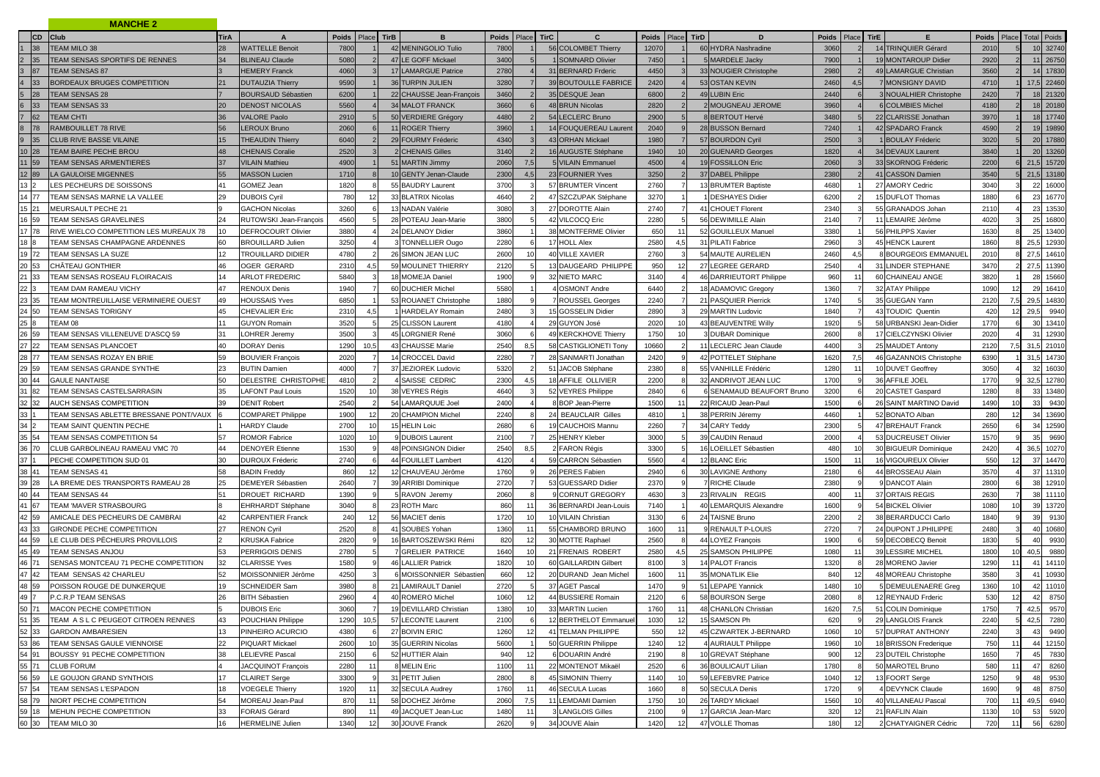|                                                                    | <b>MANCHE 2</b>                                    |             |                                          |             |                 |             |                                        |              |       |                                       |              |                 |      |                                          |              |     |                                                   |                    |       |                            |
|--------------------------------------------------------------------|----------------------------------------------------|-------------|------------------------------------------|-------------|-----------------|-------------|----------------------------------------|--------------|-------|---------------------------------------|--------------|-----------------|------|------------------------------------------|--------------|-----|---------------------------------------------------|--------------------|-------|----------------------------|
|                                                                    | CD Club                                            | <b>TirA</b> | A                                        | Poids       | Place           | <b>TirB</b> | в                                      | Poids        | Place | <b>TirC</b><br>C                      | Poids        | Place           | TirD | D                                        | Poids Place  |     | TirE<br>E                                         | <b>Poids</b>       | Place | <b>Total Poids</b>         |
| 38                                                                 | TEAM MILO 38                                       | 28          | <b>WATTELLE Benoit</b>                   | 7800        |                 |             | 42 MENINGOLIO Tulio                    | 7800         |       | 56 COLOMBET Thierry                   | 12070        |                 |      | 60 HYDRA Nashradine                      | 3060         |     | 14 TRINQUIER Gérard                               | 2010               |       | 10 32740                   |
| 35                                                                 | TEAM SENSAS SPORTIFS DE RENNES                     | 34          | <b>BLINEAU Claude</b>                    | 5080        |                 |             | 47 LE GOFF Mickael                     | 3400         |       | 1 SOMNARD Olivier                     | 7450         |                 |      | <b>MARDELE Jackv</b>                     | 7900         |     | 19 MONTAROUP Didier                               | 2920               |       | 11<br>26750                |
| 3 87                                                               | <b>TEAM SENSAS 87</b>                              |             | <b>HEMERY Franck</b>                     | 4060        |                 |             | 17 LAMARGUE Patrice                    | 2780         |       | 31 BERNARD Frderic                    | 4450         |                 |      | 33 NOUGIER Christophe                    | 2980         |     | 49 LAMARGUE Christian                             | 3560               |       | 14 17830                   |
| 33                                                                 | BORDEAUX BRUGES COMPETITION                        | 21          | <b>DUTAUZIA Thierry</b>                  | 9590        |                 |             | 36 TURPIN JULIEN                       | 3280         |       | 39 BOUTOULLE FABRICE                  | 2420         |                 |      | 53 OSTAN KEVIN                           | 2460         | 4,5 | 7 MONSIGNY DAVID                                  | 4710               |       | 17,5 22460                 |
| 28                                                                 | <b>TEAM SENSAS 28</b>                              |             | <b>BOURSAUD Sébastier</b>                | 6200        |                 |             | 22 CHAUSSE Jean-François               | 3460         |       | 35 DESQUE Jean                        | 6800         |                 |      | 49 LUBIN Eric                            | 2440         |     | NOUALHIER Christophe                              | 2420               |       | 18 21320                   |
| 33                                                                 | <b>TEAM SENSAS 33</b>                              | 20          | <b>DENOST NICOLAS</b>                    | 5560        |                 |             | <b>34 MALOT FRANCK</b>                 | 3660         |       | 48 BRUN Nicolas                       | 2820         |                 |      | 2 MOUGNEAU JEROME                        | 3960         |     | 6 COLMBIES Miche                                  | 4180               |       | 18 20180                   |
| 62                                                                 | <b>TEAM CHTI</b>                                   | 36          | <b>/ALORE Paolo</b>                      | 2910        |                 |             | 50 VERDIERE Grégory                    | 4480         |       | 54 LECLERC Bruno                      | 2900         |                 |      | <b>8 BERTOUT Hervé</b>                   | 3480         |     | 22 CLARISSE Jonathan                              | <b>3970</b>        |       | 18 17740                   |
| 78                                                                 | RAMBOUILLET 78 RIVE                                | 56          | <b>EROUX Bruno</b>                       | 206         |                 |             | 11 ROGER Thierry                       | 3960         |       | 14 FOUQUEREAU Laurent                 | 2040         |                 |      | 28 BUSSON Bernard                        | 7240         |     | 42 SPADARO Franck                                 | 4590               |       | 19<br>19890                |
| 9<br>35                                                            | CLUB RIVE BASSE VILAINE                            | 15          | <b>THEAUDIN Thierry</b>                  | 6040        |                 |             | 29 FOURMY Fréderic                     | 4340         |       | 43 ORHAN Mickael                      | 1980         |                 |      | 57 BOURDON Cyril                         | 2500         |     | 1 BOULAY Fréderic                                 | 3020               |       | 20<br>17880                |
| 10 28                                                              | TEAM BAIRE PECHE BROU                              | 48          | <b>CHENAIS Coralie</b>                   | 2520        |                 |             | 2 CHENAIS Gilles                       | 3140         |       | 16 AUGUSTE Stéphane                   | 1940         | 10 <sup>1</sup> |      | 20 GUENARD Georges                       | 1820         |     | 34 DEVAUX Laurent                                 | 3840               |       | 20<br>13260                |
| 11 59                                                              | TEAM SENSAS ARMENTIERES                            | 37          | <b>ILAIN Mathieu</b>                     | 4900        |                 |             | 51 MARTIN Jimmy                        | 2060         | 7.5   | 5 VILAIN Emmanuel                     | 4500         |                 |      | 19 FOSSILLON Eric                        | 2060         |     | 33 SKORNOG Fréderic                               | 2200               |       | 21,5<br>15720              |
| 12 89                                                              | LA GAULOISE MIGENNES                               | 55          | <b>MASSON Lucien</b>                     | 1710        |                 |             | 10 GENTY Jenan-Claude                  | 2300         | 4.5   | 23 FOURNIER Yves                      | 3250         |                 |      | 37 DABEL Philippe                        | 2380         |     | 41 CASSON Damier                                  | 3540               |       | 21,5<br>13180              |
| 13 <sup>2</sup>                                                    | LES PECHEURS DE SOISSONS                           | 41          | <b>GOMEZ Jean</b>                        | 1820        |                 |             | 55 BAUDRY Laurent                      | 3700         |       | 57 BRUMTER Vincent                    | 2760         |                 |      | 13 BRUMTER Baptiste                      | 4680         |     | 27 AMORY Cedric                                   | 3040               |       | 22<br>16000                |
| 14 77                                                              | <b>FEAM SENSAS MARNE LA VALLEE</b>                 | 29          | DUBOIS Cyril                             | 780         |                 |             | 33 BLATRIX Nicolas                     | 4640         |       | 47 SZCZUPAK Stéphane                  | 3270         |                 |      | <b>DESHAYES Didier</b>                   | 6200         |     | 15 DUFLOT Thomas                                  | 1880               |       | 16770<br>23                |
| 15 21                                                              | MEURSAULT PECHE 21                                 |             | <b>GACHON Nicolas</b>                    | 326         |                 |             | 13 NADAN Valérie                       | 3080         |       | 27 DOROTTE Alain                      | 2740         |                 |      | 41 CHOUET Florent                        | 2340         |     | 55 GRANADOS Johan                                 | 2110               |       | 23<br>13530                |
| 16 59                                                              | TEAM SENSAS GRAVELINES                             |             | RUTOWSKI Jean-François                   | 4560        |                 |             | 28 POTEAU Jean-Marie                   | 3800         |       | 42 VILCOCQ Eric                       | 2280         |                 |      | 56 DEWIMILLE Alain                       | 2140         |     | 11 LEMAIRE Jérôme                                 | 4020               |       | 16800<br>25                |
| 17 78                                                              | RIVE WIELCO COMPETITION LES MUREAUX 78             |             | DEFROCOURT Olivier                       | 3880        |                 |             | 24 DELANOY Didier                      | 3860         |       | 38 MONTFERME Olivier                  | 650          | 11              |      | 52 GOUILLEUX Manue                       | 3380         |     | 56 PHILPPS Xavier                                 | 1630               |       | 25<br>13400                |
| 18 8                                                               | TEAM SENSAS CHAMPAGNE ARDENNES                     | 60          | <b>BROUILLARD Julien</b>                 | 3250        |                 |             | 3 TONNELLIER Ougo                      | 2280         |       | 17 HOLL Alex                          | 2580         | 4.5             |      | 31 PILATI Fabrice                        | 2960         |     | 45 HENCK Laurent                                  | 1860               |       | 25,5<br>12930              |
| 19 72                                                              | TEAM SENSAS LA SUZE                                | 12          | TROUILLARD DIDIER                        | 4780        |                 |             | 26 SIMON JEAN LUC                      | 2600         |       | 40 VILLE XAVIER                       | 2760         |                 |      | 54 MAUTE AURELIEN                        | 2460         |     | 8 BOURGEOIS EMMANUEL                              | 2010               |       | 27,5<br>14610              |
| 20 53                                                              | CHÂTEAU GONTHIER                                   | 46          | OGER GERARD                              | 2310        | 4.5             |             | 59 MOULINET THIERRY                    | 2120         |       | 13 DAUGEARD PHILIPPE                  | 950          | 12              |      | 27<br><b>EGREE GERARD</b>                | 2540         |     | 31 LINDER STEPHANE                                | 3470               |       | 27,5<br>11390              |
| 21 33                                                              | TEAM SENSAS ROSEAU FLOIRACAIS                      | 14          | ARLOT FREDERIC                           | 584         |                 |             | 18 MOMEJA Danie                        | 1900         |       | 32 NIETO MARC                         | 3140         |                 |      | DARRIEUTORT Philippe<br>46               | 960          |     | 60 CHAINEAU ANGE                                  | 3820               |       | 28<br>15660                |
| 22 3                                                               | TEAM DAM RAMEAU VICHY                              | 47          | <b>RENOUX Denis</b>                      | 1940        |                 |             | 60 DUCHIER Michel                      | 5580         |       | <b>OSMONT Andre</b>                   | 6440         |                 |      | 18 ADAMOVIC Gregory                      | 1360         |     | 32 ATAY Philippe                                  | 1090               |       | 29<br>16410                |
| 23 35                                                              | TEAM MONTREUILLAISE VERMINIERE OUEST               | 49          | <b>HOUSSAIS Yves</b>                     | 6850        |                 |             | 53 ROUANET Christophe                  | 1880         |       | <b>ROUSSEL Georges</b>                | 2240         |                 |      | 21 PASQUIER Pierrick                     | 1740         |     | 35 GUEGAN Yann                                    | 2120               | 7,5   | 29,5<br>14830              |
| 24 50                                                              | <b>TEAM SENSAS TORIGNY</b>                         | 45          | CHEVALIER Eric                           | 231         | 4.5             |             | HARDELAY Romain                        | 2480         |       | 15 GOSSELIN Didier                    | 2890         | 10 <sup>1</sup> |      | 29 MARTIN Ludovic                        | 1840         |     | 43 TOUDIC Quentin                                 | 42 <sub>C</sub>    |       | 29 <sub>1</sub><br>9940    |
| 25 8<br>26 59                                                      | TEAM 08<br><b>FEAM SENSAS VILLENEUVE D'ASCQ 59</b> | 11<br>31    | <b>GUYON Romain</b>                      | 352<br>3500 |                 |             | 25 CLISSON Laurent<br>45 LORGNIER René | 4180<br>3060 |       | 29 GUYON José<br>49 KERCKHOVE Thierry | 2020<br>1750 | 10 <sup>1</sup> |      | 43 BEAUVENTRE Willy<br>3 DUBAR Dominique | 1920<br>2600 |     | 58 URBANSKI Jean-Didier<br>17 CIELCZYNSKI Olivier | 1770<br>2020       |       | 30<br>13410<br>31<br>12930 |
| 27 22                                                              | <b>FEAM SENSAS PLANCOET</b>                        | 40          | LOHRER Jeremy<br><b>DORAY Denis</b>      | 1290        | 10,5            |             | 43 CHAUSSE Marie                       | 2540         | 8.5   | 58 CASTIGLIONETI Tony                 | 10660        |                 |      | <b>ECLERC Jean Claude</b><br>11          | 4400         |     | 25 MAUDET Antony                                  | 2120               | 7.5   | 31,5<br>21010              |
| 28 77                                                              | <b>FEAM SENSAS ROZAY EN BRIE</b>                   | 59          | <b>BOUVIER François</b>                  | 2020        |                 |             | 14 CROCCEL David                       | 2280         |       | 28 SANMARTI Jonathan                  | 2420         |                 |      | 42 POTTELET Stéphane                     | 1620         |     | 46 GAZANNOIS Christophe                           | 6390               |       | 31,5<br>14730              |
| 29 59                                                              | <b>TEAM SENSAS GRANDE SYNTHE</b>                   |             | <b>BUTIN Damien</b>                      | 4000        |                 |             | 37 JEZIOREK Ludovic                    | 5320         |       | 51 JACOB Stéphane                     | 2380         |                 |      | <b>VANHILLE Frédéric</b><br>55           | 1280         |     | 10 DUVET Geoffrey                                 | 305C               |       | 16030<br>-32               |
| 30 44                                                              | <b>GAULE NANTAISE</b>                              | 50          | DELESTRE CHRISTOPHE                      | 481         |                 |             | <b>4 SAISSE CEDRIC</b>                 | 2300         | 4.5   | 18 AFFILE OLLIVIER                    | 2200         |                 |      | 32 ANDRIVOT JEAN LUC                     | 1700         |     | 36 AFFILE JOEL                                    | 1770               |       | 32,5<br>12780              |
| 31 82                                                              | TEAM SENSAS CASTELSARRASIN                         | 35          | LAFONT Paul Louis                        | 1520        | 10 <sup>1</sup> |             | 38 VEYRES Régis                        | 4640         |       | 52 VEYRES Philippe                    | 2840         |                 |      | 6 SENAMAUD BEAUFORT Bruno                | 3200         |     | 20 CASTET Gaspard                                 | 1280               |       | 33<br>13480                |
| 32 32                                                              | AUCH SENSAS COMPETITION                            |             | <b>DENIT Robert</b>                      | 254         |                 |             | 54 LAMARQUUE Joel                      | 2400         |       | <b>BOP Jean-Pierre</b>                | 1500         | 11              |      | 22 RICAUD Jean-Pau                       | 1500         |     | 26 SAINT MARTINO David                            | 1490               |       | 33<br>9430                 |
|                                                                    | TEAM SENSAS ABLETTE BRESSANE PONT/VAUX             |             | COMPARET Philippe                        | 190         | 12              |             | 20 CHAMPION Michel                     | 2240         |       | <b>BEAUCLAIR Gilles</b><br>24         | 481          |                 |      | 38 PERRIN Jéremy                         | 4460         |     | 52 BONATO Alban                                   | 280                |       | 13690<br>34                |
| 34 2                                                               | TEAM SAINT QUENTIN PECHE                           |             | <b>HARDY Claude</b>                      | 270         | 10              |             | 15 HELIN Loic                          | 2680         |       | 19 CAUCHOIS Mannu                     | 2260         |                 |      | 34 CARY Teddy                            | 2300         |     | 47 BREHAUT Franck                                 | 2650               |       | 34<br>12590                |
| 35 54                                                              | TEAM SENSAS COMPETITION 54                         | 57          | ROMOR Fabrice                            | 102         | 10              |             | 9 DUBOIS Laurent                       | 2100         |       | 25 HENRY Kleber                       | 3000         |                 |      | CAUDIN Renaud<br>39 <sub>°</sub>         | 2000         |     | 53 DUCREUSET Olivier                              | 1570               |       | 9690                       |
| 36 70                                                              | CLUB GARBOLINEAU RAMEAU VMC 70                     | 44          | <b>DENOYER Etienne</b>                   | 153         |                 |             | 48 POINSIGNON Didier                   | 2540         | 8.5   | 2 FARON Régis                         | 3300         |                 |      | <b>OEILLET Sébastien</b><br>16L          | 480          |     | 30 BIGUEUR Dominique                              | 2420               |       | 36,5<br>10270              |
| 37 1                                                               | PECHE COMPETITION SUD 01                           | 30          | <b>DUROUX Fréderic</b>                   | 2740        |                 |             | 44 FOUILLET Lambert                    | 4120         |       | 59 CARRON Sébastien                   | 5560         |                 |      | 12 BLANC Eric                            | 1500         |     | 16 VIGOUREUX Olivier                              | 55C                |       | 37<br>14470                |
| 38 41                                                              | TEAM SENSAS 41                                     | 58          | <b>BADIN Freddy</b>                      | 860         | 12              |             | 12 CHAUVEAU Jérôme                     | 1760         |       | 26 PERES Fabien                       | 2940         |                 |      | 30 <sub>L</sub><br><b>AVIGNE Anthony</b> | 2180         |     | 44 BROSSEAU Alain                                 | 357C               |       | 37<br>11310                |
| 39 28                                                              | A BREME DES TRANSPORTS RAMEAU 28                   | 25          | DEMEYER Sébastien                        | 2640        |                 |             | 39 ARRIBI Dominique                    | 2720         |       | 53 GUESSARD Didier                    | 2370         |                 |      | <b>RICHE Claude</b>                      | 2380         |     | 9 DANCOT Alain                                    | 2800               |       | 38<br>12910                |
| 40 44                                                              | <b>TEAM SENSAS 44</b>                              | 51          | DROUET RICHARD                           | 1390        |                 |             | 5 RAVON Jeremy                         | 2060         |       | <b>CORNUT GREGORY</b>                 | 4630         |                 |      | 23 RIVALIN REGIS                         | 400          |     | 37 ORTAIS REGIS                                   | 2630               |       | 11110<br>38                |
| 41 67                                                              | TEAM 'MAVER STRASBOURG                             |             | EHRHARDT Stéphane                        | 3040        |                 |             | 23 ROTH Marc                           | 860          |       | 36 BERNARDI Jean-Louis                | 7140         |                 |      | 40 LEMARQUIS Alexandre                   | 1600         |     | 54 BICKEL Olivier                                 | 1080               |       | 39<br>13720                |
| 42 59                                                              | AMICALE DES PECHEURS DE CAMBRAI                    | 42          | CARPENTIER Franck                        | 240         |                 |             | 56 MACIET denis                        | 1720         |       | 10 VILAIN Christian                   | 3130         |                 |      | 24 TAISNE Bruno                          | 2200         |     | 38 BERARDUCCI Carlo                               | 1840               |       | 9130<br>39                 |
| 43 33                                                              | <b>GIRONDE PECHE COMPETITION</b>                   | 27          | <b>RENON Cyril</b>                       | 252         |                 |             | 41 SOUBES Yohan                        | 1360         |       | 55 CHAMBORD BRUNO                     | 1600         | 11              |      | RENAULT P-LOUIS                          | 2720         |     | 24 DUPONT J.PHILIPPE                              | 2480               |       | $\Delta($<br>10680         |
| 44 59                                                              | LE CLUB DES PËCHEURS PROVILLOIS                    |             | KRUSKA Fabrice                           | 2820        |                 |             | 16 BARTOSZEWSKI Rémi                   | 820          | 12    | 30 MOTTE Raphael                      | 2560         |                 |      | 44<br>OYEZ François                      | 1900         |     | 59 DECOBECQ Benoit                                | 1830               |       | 9930                       |
| 45 49                                                              | TEAM SENSAS ANJOL                                  | 53          | PERRIGOIS DENIS                          | 278         |                 |             | 7 GRELIER PATRICE                      | 1640         | 10    | 21 FRENAIS ROBERT                     | 2580         | 4,5             |      | 25 SAMSON PHILIPPE                       | 1080         |     | 39 LESSIRE MICHEL                                 | 1800               |       | 40,5<br>9880               |
| 46 71                                                              | SENSAS MONTCEAU 71 PECHE COMPETITION               | 32          | CLARISSE Yves                            | 158         |                 |             | 46 LALLIER Patrick                     | 1820         |       | 60 GAILLARDIN Gilbert                 | 8100         |                 |      | <b>PALOT Francis</b>                     | 1320         |     | 28 MORENO Javier                                  | 1290               |       | 14110                      |
| 47 42                                                              | TEAM SENSAS 42 CHARLEU                             | 52          | MOISSONNIER Jérôme                       | 425         |                 |             | 6 MOISSONNIER Sébastie                 | 66C          | 12    | 20 DURAND Jean Michel                 | 1600         | 11              |      | <b>MONATLIK Elie</b><br>35               | 840          |     | 48 MOREAU Christophe                              | 3580               |       | 10930<br>$\mathbf{A}^*$    |
| 48 59                                                              | POISSON ROUGE DE DUNKERQUE                         | 19          | SCHNEIDER Sam                            | 3980        |                 |             | 21 LAMIRAULT Daniel                    | 2720         |       | 37 AGET Pascal                        | 1470         |                 |      | 51 LEPAPE Yannick                        | 1480         |     | 5 DEMEULENAERE Greg                               | 1360               |       | 11010<br>42                |
| 49 7                                                               | P.C.R.P TEAM SENSAS                                | 26          | <b>BITH Sébastien</b>                    | 2960        |                 |             | 40 ROMERO Michel                       | 1060         | 12    | 44 BUSSIERE Romain                    | 2120         |                 | 6    | 58 BOURSON Serge                         | 2080         | 8   | 12 REYNAUD Frderic                                | 530                |       | 8750<br>42                 |
|                                                                    | 50 71 MACON PECHE COMPETITION                      |             | <b>DUBOIS Eric</b>                       | 3060        |                 |             | 19 DEVILLARD Christian                 | 1380         | 10    | 33 MARTIN Lucien                      | 1760         | 111             |      | 48 CHANLON Christian                     | 1620         | 7,5 | 51 COLIN Dominique                                | 1750               |       | 42,5<br>9570               |
|                                                                    | 51 35 TEAM A S L C PEUGEOT CITROEN RENNES          | 43          | POUCHIAN Philippe                        | 1290        | 10,5            |             | 57 LECONTE Laurent                     | 2100         |       | 12 BERTHELOT Emmanue                  | 1030         | 12              |      | 15 SAMSON Ph                             | 620          |     | 29 LANGLOIS Franck                                | 2240               |       | 42,5<br>7280               |
| $\frac{52}{52}$ $\frac{33}{86}$<br>$\frac{53}{54}$ $\frac{86}{91}$ | <b>GARDON AMBARESIEN</b>                           | 13          | PINHEIRO ACURCIO                         | 4380        |                 |             | 27 BOIVIN ERIC                         | 1260         | 12    | 41 TELMAN PHILIPPE                    | 550          | 12              |      | 45 CZWARTEK J-BERNARD                    | 1060         |     | 57 DUPRAT ANTHONY                                 | 2240               |       | 9490                       |
|                                                                    | TEAM SENSAS GAULE VIENNOISE                        | 22          | PIQUART Mickael                          | 2600        |                 |             | 35 GUERRIN Nicolas                     | 5600         |       | 50 GUERRIN Philippe                   | 1240         | 12              |      | 4 AURIAULT Philippe                      | 1960         |     | 18 BRISSON Frederique                             | 750                |       | 12150                      |
|                                                                    | BOUSSY 91 PECHE COMPETITION                        | 38          | LELIEVRE Pascal                          | 2150        |                 |             | 52 HUTTIER Alain                       | 940          | 12    | 6 DOUARIN André                       | 2190         |                 |      | 10 GREVAT Stéphane                       | 900          |     | 23 DUTEIL Christophe                              | 1650               |       | 7830                       |
|                                                                    | <b>CLUB FORUM</b>                                  | 17          | JACQUINOT François                       | 2280        |                 |             | 8 MELIN Eric                           | 1100<br>2800 |       | 22 MONTENOT Mikaël                    | 2520         | 10              |      | 36 BOULICAUT Lilian                      | 1780         |     | 50 MAROTEL Bruno                                  | 58C                |       | 8260                       |
| $\frac{55}{56}$ 71<br>56 59<br>57 54                               | LE GOUJON GRAND SYNTHOIS<br>TEAM SENSAS L'ESPADON  | 18          | <b>CLAIRET Serge</b>                     | 3300        |                 |             | 31 PETIT Julien<br>32 SECULA Audrey    |              |       | 45 SIMONIN Thierry                    | 1140         |                 |      | 59 LEFEBVRE Patrice<br>50 SECULA Denis   | 1040         |     | 13 FOORT Serge                                    | 1250               |       | 9530                       |
| 58 79                                                              |                                                    | 54          | <b>VOEGELE Thierry</b>                   | 1920<br>87  |                 |             | 58 DOCHEZ Jérôme                       | 1760<br>2060 | 7,5   | 46 SECULA Lucas<br>11 LEMDAMI Damien  | 1660         | 10              |      |                                          | 1720         |     | 4 DEVYNCK Claude<br>40 VILLANEAU Pascal           | 1690               |       | 8750                       |
| 59 18                                                              | NIORT PECHE COMPETITION<br>MEHUN PECHE COMPETITION | 33          | MOREAU Jean-Paul<br><b>FORAIS Gérard</b> | 890         |                 |             | 49 JACQUET Jean-Luc                    | 1480         |       | 3 LANGLOIS Gilles                     | 1750<br>2100 |                 |      | 26 TARDY Mickael<br>17 GARCIA Jean-Marc  | 1560<br>320  |     | 21 RAFLIN Alain                                   | <b>700</b><br>1130 |       | 6940<br>49,<br>5920        |
| 60 30                                                              | TEAM MILO 30                                       | 16          | <b>HERMELINE Julien</b>                  | 1340        | 12              |             | 30 JOUVE Franck                        | 2620         |       | 34 JOUVE Alain                        | 1420         | 12              |      | 47 VOLLE Thomas                          | 180          |     | 2 CHATYAIGNER Cédric                              | 720                |       | 56<br>6280                 |
|                                                                    |                                                    |             |                                          |             |                 |             |                                        |              |       |                                       |              |                 |      |                                          |              |     |                                                   |                    |       |                            |